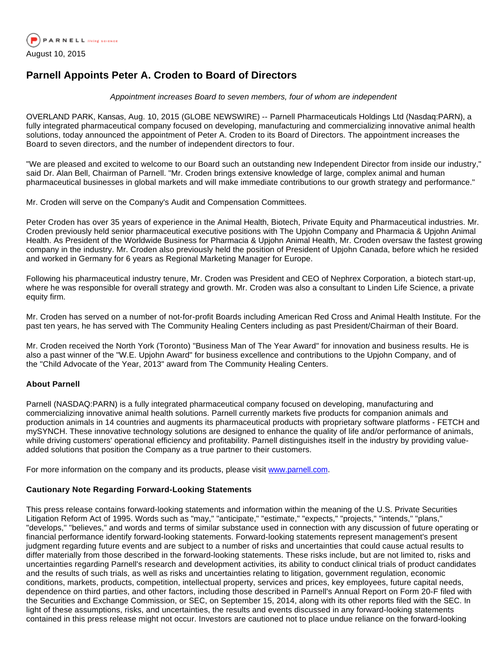

## **Parnell Appoints Peter A. Croden to Board of Directors**

Appointment increases Board to seven members, four of whom are independent

OVERLAND PARK, Kansas, Aug. 10, 2015 (GLOBE NEWSWIRE) -- Parnell Pharmaceuticals Holdings Ltd (Nasdaq:PARN), a fully integrated pharmaceutical company focused on developing, manufacturing and commercializing innovative animal health solutions, today announced the appointment of Peter A. Croden to its Board of Directors. The appointment increases the Board to seven directors, and the number of independent directors to four.

"We are pleased and excited to welcome to our Board such an outstanding new Independent Director from inside our industry," said Dr. Alan Bell, Chairman of Parnell. "Mr. Croden brings extensive knowledge of large, complex animal and human pharmaceutical businesses in global markets and will make immediate contributions to our growth strategy and performance."

Mr. Croden will serve on the Company's Audit and Compensation Committees.

Peter Croden has over 35 years of experience in the Animal Health, Biotech, Private Equity and Pharmaceutical industries. Mr. Croden previously held senior pharmaceutical executive positions with The Upjohn Company and Pharmacia & Upjohn Animal Health. As President of the Worldwide Business for Pharmacia & Upjohn Animal Health, Mr. Croden oversaw the fastest growing company in the industry. Mr. Croden also previously held the position of President of Upjohn Canada, before which he resided and worked in Germany for 6 years as Regional Marketing Manager for Europe.

Following his pharmaceutical industry tenure, Mr. Croden was President and CEO of Nephrex Corporation, a biotech start-up, where he was responsible for overall strategy and growth. Mr. Croden was also a consultant to Linden Life Science, a private equity firm.

Mr. Croden has served on a number of not-for-profit Boards including American Red Cross and Animal Health Institute. For the past ten years, he has served with The Community Healing Centers including as past President/Chairman of their Board.

Mr. Croden received the North York (Toronto) "Business Man of The Year Award" for innovation and business results. He is also a past winner of the "W.E. Upjohn Award" for business excellence and contributions to the Upjohn Company, and of the "Child Advocate of the Year, 2013" award from The Community Healing Centers.

## **About Parnell**

Parnell (NASDAQ:PARN) is a fully integrated pharmaceutical company focused on developing, manufacturing and commercializing innovative animal health solutions. Parnell currently markets five products for companion animals and production animals in 14 countries and augments its pharmaceutical products with proprietary software platforms - FETCH and mySYNCH. These innovative technology solutions are designed to enhance the quality of life and/or performance of animals, while driving customers' operational efficiency and profitability. Parnell distinguishes itself in the industry by providing valueadded solutions that position the Company as a true partner to their customers.

For more information on the company and its products, please visit [www.parnell.com](http://www.globenewswire.com/newsroom/ctr?d=10145292&l=11&a=www.parnell.com&u=http%3A%2F%2Fwww.parnell.com%2F).

## **Cautionary Note Regarding Forward-Looking Statements**

This press release contains forward-looking statements and information within the meaning of the U.S. Private Securities Litigation Reform Act of 1995. Words such as "may," "anticipate," "estimate," "expects," "projects," "intends," "plans," "develops," "believes," and words and terms of similar substance used in connection with any discussion of future operating or financial performance identify forward-looking statements. Forward-looking statements represent management's present judgment regarding future events and are subject to a number of risks and uncertainties that could cause actual results to differ materially from those described in the forward-looking statements. These risks include, but are not limited to, risks and uncertainties regarding Parnell's research and development activities, its ability to conduct clinical trials of product candidates and the results of such trials, as well as risks and uncertainties relating to litigation, government regulation, economic conditions, markets, products, competition, intellectual property, services and prices, key employees, future capital needs, dependence on third parties, and other factors, including those described in Parnell's Annual Report on Form 20-F filed with the Securities and Exchange Commission, or SEC, on September 15, 2014, along with its other reports filed with the SEC. In light of these assumptions, risks, and uncertainties, the results and events discussed in any forward-looking statements contained in this press release might not occur. Investors are cautioned not to place undue reliance on the forward-looking